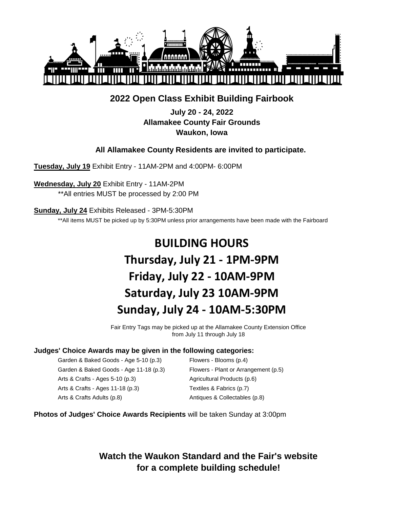

# **2022 Open Class Exhibit Building Fairbook**

**July 20 - 24, 2022 Allamakee County Fair Grounds Waukon, Iowa**

# **All Allamakee County Residents are invited to participate.**

**Tuesday, July 19** Exhibit Entry - 11AM-2PM and 4:00PM- 6:00PM

**Wednesday, July 20** Exhibit Entry - 11AM-2PM \*\*All entries MUST be processed by 2:00 PM

**Sunday, July 24** Exhibits Released - 3PM-5:30PM

\*\*All items MUST be picked up by 5:30PM unless prior arrangements have been made with the Fairboard

# **BUILDING HOURS Thursday, July 21 - 1PM-9PM Friday, July 22 - 10AM-9PM Saturday, July 23 10AM-9PM Sunday, July 24 - 10AM-5:30PM**

Fair Entry Tags may be picked up at the Allamakee County Extension Office from July 11 through July 18

#### **Judges' Choice Awards may be given in the following categories:**

Garden & Baked Goods - Age 5-10 (p.3) Flowers - Blooms (p.4) Garden & Baked Goods - Age 11-18 (p.3) Flowers - Plant or Arrangement (p.5) Arts & Crafts - Ages 5-10 (p.3) Agricultural Products (p.6) Arts & Crafts - Ages 11-18 (p.3) Textiles & Fabrics (p.7) Arts & Crafts Adults (p.8) Antiques & Collectables (p.8)

#### **Photos of Judges' Choice Awards Recipients** will be taken Sunday at 3:00pm

**Watch the Waukon Standard and the Fair's website for a complete building schedule!**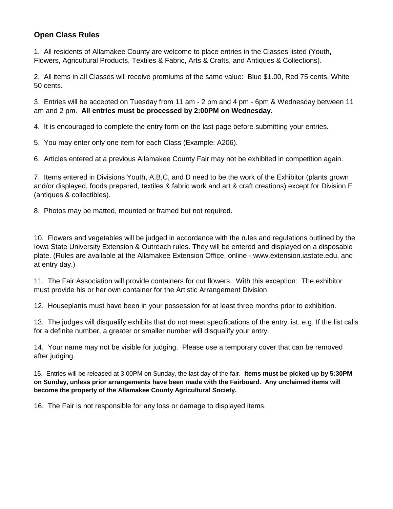## **Open Class Rules**

1. All residents of Allamakee County are welcome to place entries in the Classes listed (Youth, Flowers, Agricultural Products, Textiles & Fabric, Arts & Crafts, and Antiques & Collections).

2. All items in all Classes will receive premiums of the same value: Blue \$1.00, Red 75 cents, White 50 cents.

3. Entries will be accepted on Tuesday from 11 am - 2 pm and 4 pm - 6pm & Wednesday between 11 am and 2 pm. **All entries must be processed by 2:00PM on Wednesday.**

4. It is encouraged to complete the entry form on the last page before submitting your entries.

5. You may enter only one item for each Class (Example: A206).

6. Articles entered at a previous Allamakee County Fair may not be exhibited in competition again.

7. Items entered in Divisions Youth, A,B,C, and D need to be the work of the Exhibitor (plants grown and/or displayed, foods prepared, textiles & fabric work and art & craft creations) except for Division E (antiques & collectibles).

8. Photos may be matted, mounted or framed but not required.

10. Flowers and vegetables will be judged in accordance with the rules and regulations outlined by the Iowa State University Extension & Outreach rules. They will be entered and displayed on a disposable plate. (Rules are available at the Allamakee Extension Office, online - www.extension.iastate.edu, and at entry day.)

11. The Fair Association will provide containers for cut flowers. With this exception: The exhibitor must provide his or her own container for the Artistic Arrangement Division.

12. Houseplants must have been in your possession for at least three months prior to exhibition.

13. The judges will disqualify exhibits that do not meet specifications of the entry list. e.g. If the list calls for a definite number, a greater or smaller number will disqualify your entry.

14. Your name may not be visible for judging. Please use a temporary cover that can be removed after judging.

15. Entries will be released at 3:00PM on Sunday, the last day of the fair. **Items must be picked up by 5:30PM on Sunday, unless prior arrangements have been made with the Fairboard. Any unclaimed items will become the property of the Allamakee County Agricultural Society.**

16. The Fair is not responsible for any loss or damage to displayed items.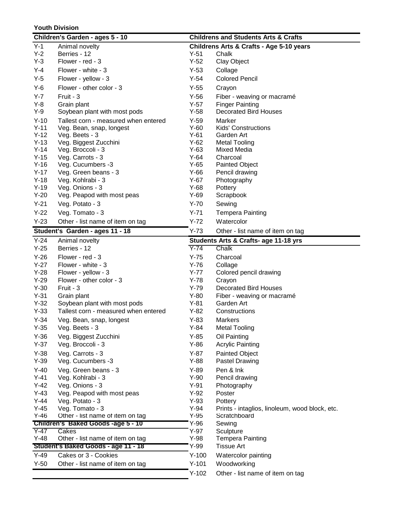#### **Youth Division**

|         | Children's Garden - ages 5 - 10                                        | <b>Childrens and Students Arts &amp; Crafts</b> |                                                |  |
|---------|------------------------------------------------------------------------|-------------------------------------------------|------------------------------------------------|--|
| $Y-1$   | Animal novelty                                                         |                                                 | Childrens Arts & Crafts - Age 5-10 years       |  |
| $Y-2$   | Berries - 12                                                           | $Y-51$                                          | Chalk                                          |  |
| $Y-3$   | Flower - red - 3                                                       | $Y-52$                                          | Clay Object                                    |  |
| Y-4     | Flower - white - 3                                                     | $Y-53$                                          | Collage                                        |  |
| $Y-5$   | Flower - yellow - 3                                                    | $Y-54$                                          | <b>Colored Pencil</b>                          |  |
| $Y-6$   | Flower - other color - 3                                               | $Y-55$                                          | Crayon                                         |  |
| $Y - 7$ | Fruit - 3                                                              | $Y-56$                                          | Fiber - weaving or macramé                     |  |
| $Y-8$   | Grain plant                                                            | $Y-57$                                          | <b>Finger Painting</b>                         |  |
| Y-9     | Soybean plant with most pods                                           | $Y-58$                                          | <b>Decorated Bird Houses</b>                   |  |
| $Y-10$  | Tallest corn - measured when entered                                   | $Y-59$                                          | Marker                                         |  |
| $Y-11$  | Veg. Bean, snap, longest                                               | $Y-60$                                          | <b>Kids' Constructions</b>                     |  |
| $Y-12$  | Veg. Beets - 3                                                         | $Y-61$                                          | Garden Art                                     |  |
| $Y-13$  | Veg. Biggest Zucchini                                                  | $Y-62$                                          | <b>Metal Tooling</b>                           |  |
| $Y-14$  | Veg. Broccoli - 3                                                      | $Y-63$                                          | Mixed Media                                    |  |
| $Y-15$  | Veg. Carrots - 3                                                       | $Y-64$                                          | Charcoal                                       |  |
| $Y-16$  | Veg. Cucumbers -3                                                      | $Y-65$                                          | <b>Painted Object</b>                          |  |
| $Y-17$  | Veg. Green beans - 3                                                   | $Y-66$                                          | Pencil drawing                                 |  |
| $Y-18$  | Veg. Kohlrabi - 3                                                      | $Y-67$                                          | Photography                                    |  |
| $Y-19$  | Veg. Onions - 3                                                        | $Y-68$                                          | Pottery                                        |  |
| $Y-20$  | Veg. Peapod with most peas                                             | $Y-69$                                          | Scrapbook                                      |  |
| $Y-21$  | Veg. Potato - 3                                                        | $Y-70$                                          | Sewing                                         |  |
| $Y-22$  | Veg. Tomato - 3                                                        | $Y-71$                                          | <b>Tempera Painting</b>                        |  |
| $Y-23$  | Other - list name of item on tag                                       | $Y-72$                                          | Watercolor                                     |  |
|         | Student's Garden - ages 11 - 18                                        | $Y-73$                                          | Other - list name of item on tag               |  |
| $Y-24$  | Animal novelty                                                         |                                                 | Students Arts & Crafts- age 11-18 yrs          |  |
| $Y-25$  | Berries - 12                                                           | $Y-74$                                          | Chalk                                          |  |
| $Y-26$  | Flower - red - 3                                                       | $Y-75$                                          | Charcoal                                       |  |
| $Y-27$  | Flower - white - 3                                                     | $Y-76$                                          | Collage                                        |  |
| $Y-28$  | Flower - yellow - 3                                                    | $Y-77$                                          | Colored pencil drawing                         |  |
| $Y-29$  | Flower - other color - 3                                               | $Y-78$                                          | Crayon                                         |  |
| $Y-30$  | Fruit - 3                                                              | $Y-79$                                          | <b>Decorated Bird Houses</b>                   |  |
| $Y-31$  | Grain plant                                                            | $Y-80$                                          | Fiber - weaving or macramé                     |  |
| $Y-32$  | Soybean plant with most pods                                           | $Y-81$                                          | Garden Art                                     |  |
| $Y-33$  | Tallest corn - measured when entered                                   | $Y-82$                                          | Constructions                                  |  |
| $Y-34$  | Veg. Bean, snap, longest                                               | $Y-83$                                          | <b>Markers</b>                                 |  |
| $Y-35$  | Veg. Beets - 3                                                         | $Y-84$                                          | <b>Metal Tooling</b>                           |  |
| $Y-36$  | Veg. Biggest Zucchini                                                  | $Y-85$                                          | Oil Painting                                   |  |
| $Y-37$  | Veg. Broccoli - 3                                                      | $Y-86$                                          | <b>Acrylic Painting</b>                        |  |
| $Y-38$  | Veg. Carrots - 3                                                       | $Y-87$                                          | <b>Painted Object</b>                          |  |
| $Y-39$  | Veg. Cucumbers -3                                                      | $Y-88$                                          | Pastel Drawing                                 |  |
| $Y-40$  |                                                                        |                                                 |                                                |  |
|         | Veg. Green beans - 3                                                   | $Y-89$                                          | Pen & Ink                                      |  |
| $Y-41$  | Veg. Kohlrabi - 3                                                      | $Y-90$                                          | Pencil drawing                                 |  |
| $Y-42$  | Veg. Onions - 3                                                        | $Y-91$                                          | Photography                                    |  |
| $Y-43$  | Veg. Peapod with most peas                                             | $Y-92$                                          | Poster                                         |  |
| $Y-44$  | Veg. Potato - 3                                                        | $Y-93$                                          | Pottery                                        |  |
| $Y-45$  | Veg. Tomato - 3                                                        | $Y-94$                                          | Prints - intaglios, linoleum, wood block, etc. |  |
| $Y-46$  | Other - list name of item on tag<br>Children's Baked Goods -age 5 - 10 | $Y-95$<br>$Y-96$                                | Scratchboard<br>Sewing                         |  |
| $Y-47$  | Cakes                                                                  | $Y-97$                                          | Sculpture                                      |  |
| $Y-48$  | Other - list name of item on tag                                       | $Y-98$                                          | <b>Tempera Painting</b>                        |  |
|         | Student's Baked Goods - age 11 - 18                                    | $Y-99$                                          | <b>Tissue Art</b>                              |  |
| $Y-49$  | Cakes or 3 - Cookies                                                   | $Y-100$                                         | Watercolor painting                            |  |
| $Y-50$  | Other - list name of item on tag                                       | $Y-101$                                         | Woodworking                                    |  |
|         |                                                                        | $Y-102$                                         | Other - list name of item on tag               |  |
|         |                                                                        |                                                 |                                                |  |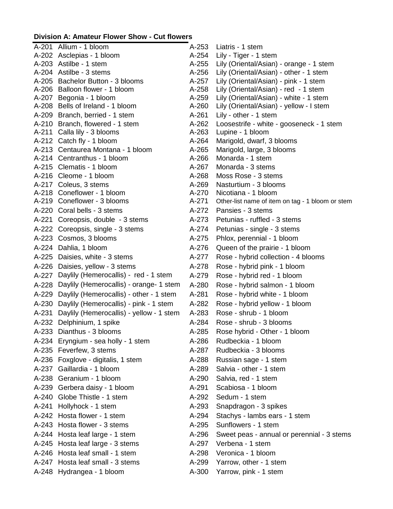## **Division A: Amateur Flower Show - Cut flowers**

| A-201 Allium - 1 bloom                         | A-253     | Liatris - 1 stem                                 |
|------------------------------------------------|-----------|--------------------------------------------------|
| A-202 Asclepias - 1 bloom                      | $A-254$   | Lily - Tiger - 1 stem                            |
| A-203 Astilbe - 1 stem                         | $A-255$   | Lily (Oriental/Asian) - orange - 1 stem          |
| A-204 Astilbe - 3 stems                        | A-256     | Lily (Oriental/Asian) - other - 1 stem           |
| A-205 Bachelor Button - 3 blooms               | A-257     | Lily (Oriental/Asian) - pink - 1 stem            |
| A-206 Balloon flower - 1 bloom                 | A-258     | Lily (Oriental/Asian) - red - 1 stem             |
| A-207 Begonia - 1 bloom                        | A-259     | Lily (Oriental/Asian) - white - 1 stem           |
| A-208 Bells of Ireland - 1 bloom               | A-260     | Lily (Oriental/Asian) - yellow - I stem          |
| A-209 Branch, berried - 1 stem                 | $A-261$   | Lily - other - 1 stem                            |
| A-210 Branch, flowered - 1 stem                | A-262     | Loosestrife - white - gooseneck - 1 stem         |
| A-211 Calla lily - 3 blooms                    | A-263     | Lupine - 1 bloom                                 |
| A-212 Catch fly - 1 bloom                      | A-264     | Marigold, dwarf, 3 blooms                        |
| A-213 Centaurea Montana - 1 bloom              | $A-265$   | Marigold, large, 3 blooms                        |
| A-214 Centranthus - 1 bloom                    | $A-266$   | Monarda - 1 stem                                 |
| A-215 Clematis - 1 bloom                       | A-267     | Monarda - 3 stems                                |
| A-216 Cleome - 1 bloom                         | $A - 268$ | Moss Rose - 3 stems                              |
| A-217 Coleus, 3 stems                          | A-269     | Nasturtium - 3 blooms                            |
| A-218 Coneflower - 1 bloom                     | A-270     | Nicotiana - 1 bloom                              |
| A-219 Coneflower - 3 blooms                    | A-271     | Other-list name of item on tag - 1 bloom or stem |
| A-220 Coral bells - 3 stems                    | $A-272$   | Pansies - 3 stems                                |
| A-221 Coreopsis, double - 3 stems              | $A-273$   | Petunias - ruffled - 3 stems                     |
| A-222 Coreopsis, single - 3 stems              | $A-274$   | Petunias - single - 3 stems                      |
| A-223 Cosmos, 3 blooms                         | $A-275$   | Phlox, perennial - 1 bloom                       |
| A-224 Dahlia, 1 bloom                          | $A-276$   | Queen of the prairie - 1 bloom                   |
| A-225 Daisies, white - 3 stems                 | A-277     | Rose - hybrid collection - 4 blooms              |
| A-226 Daisies, yellow - 3 stems                | A-278     | Rose - hybrid pink - 1 bloom                     |
| A-227 Daylily (Hemerocallis) - red - 1 stem    | A-279     | Rose - hybrid red - 1 bloom                      |
| A-228 Daylily (Hemerocallis) - orange- 1 stem  | A-280     | Rose - hybrid salmon - 1 bloom                   |
| A-229 Daylily (Hemerocallis) - other - 1 stem  | A-281     | Rose - hybrid white - 1 bloom                    |
| A-230 Daylily (Hemerocallis) - pink - 1 stem   | A-282     | Rose - hybrid yellow - 1 bloom                   |
| A-231 Daylily (Hemerocallis) - yellow - 1 stem | A-283     | Rose - shrub - 1 bloom                           |
| A-232 Delphinium, 1 spike                      | A-284     | Rose - shrub - 3 blooms                          |
| A-233 Dianthus - 3 blooms                      | A-285     | Rose hybrid - Other - 1 bloom                    |
| A-234 Eryngium - sea holly - 1 stem            | A-286     | Rudbeckia - 1 bloom                              |
| A-235 Feverfew, 3 stems                        | A-287     | Rudbeckia - 3 blooms                             |
| A-236 Foxglove - digitalis, 1 stem             | A-288     |                                                  |
| A-237 Gaillardia - 1 bloom                     | A-289     | Russian sage - 1 stem                            |
|                                                |           | Salvia - other - 1 stem                          |
| A-238 Geranium - 1 bloom                       | A-290     | Salvia, red - 1 stem                             |
| A-239 Gerbera daisy - 1 bloom                  | A-291     | Scabiosa - 1 bloom                               |
| A-240 Globe Thistle - 1 stem                   | A-292     | Sedum - 1 stem                                   |
| A-241 Hollyhock - 1 stem                       | A-293     | Snapdragon - 3 spikes                            |
| A-242 Hosta flower - 1 stem                    | A-294     | Stachys - lambs ears - 1 stem                    |
| A-243 Hosta flower - 3 stems                   | A-295     | Sunflowers - 1 stem                              |
| A-244 Hosta leaf large - 1 stem                | A-296     | Sweet peas - annual or perennial - 3 stems       |
| A-245 Hosta leaf large - 3 stems               | A-297     | Verbena - 1 stem                                 |
| A-246 Hosta leaf small - 1 stem                | A-298     | Veronica - 1 bloom                               |
| A-247 Hosta leaf small - 3 stems               | A-299     | Yarrow, other - 1 stem                           |
| A-248 Hydrangea - 1 bloom                      | A-300     | Yarrow, pink - 1 stem                            |
|                                                |           |                                                  |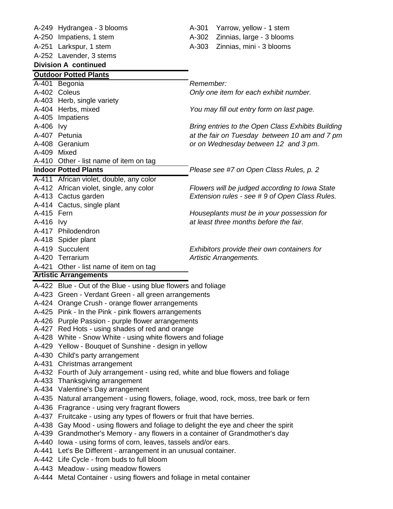|                | A-249 Hydrangea - 3 blooms                                                        |           | A-301 Yarrow, yellow - 1 stem                     |  |  |
|----------------|-----------------------------------------------------------------------------------|-----------|---------------------------------------------------|--|--|
|                | A-250 Impatiens, 1 stem                                                           | A-302     | Zinnias, large - 3 blooms                         |  |  |
|                | A-251 Larkspur, 1 stem                                                            | A-303     | Zinnias, mini - 3 blooms                          |  |  |
|                | A-252 Lavender, 3 stems                                                           |           |                                                   |  |  |
|                | <b>Division A continued</b>                                                       |           |                                                   |  |  |
|                | <b>Outdoor Potted Plants</b>                                                      |           |                                                   |  |  |
|                | A-401 Begonia                                                                     | Remember: |                                                   |  |  |
|                | A-402 Coleus                                                                      |           | Only one item for each exhibit number.            |  |  |
|                | A-403 Herb, single variety                                                        |           |                                                   |  |  |
|                | A-404 Herbs, mixed                                                                |           | You may fill out entry form on last page.         |  |  |
|                | A-405 Impatiens                                                                   |           |                                                   |  |  |
| A-406 lvy      |                                                                                   |           | Bring entries to the Open Class Exhibits Building |  |  |
|                | A-407 Petunia                                                                     |           | at the fair on Tuesday between 10 am and 7 pm     |  |  |
|                | A-408 Geranium                                                                    |           | or on Wednesday between 12 and 3 pm.              |  |  |
|                | A-409 Mixed                                                                       |           |                                                   |  |  |
|                | A-410 Other - list name of item on tag                                            |           |                                                   |  |  |
|                | <b>Indoor Potted Plants</b>                                                       |           | Please see #7 on Open Class Rules, p. 2           |  |  |
|                | A-411 African violet, double, any color                                           |           |                                                   |  |  |
|                | A-412 African violet, single, any color                                           |           | Flowers will be judged according to Iowa State    |  |  |
|                | A-413 Cactus garden                                                               |           | Extension rules - see #9 of Open Class Rules.     |  |  |
|                | A-414 Cactus, single plant                                                        |           |                                                   |  |  |
| A-415 Fern     |                                                                                   |           | Houseplants must be in your possession for        |  |  |
| A-416 lvy      |                                                                                   |           | at least three months before the fair.            |  |  |
|                | A-417 Philodendron                                                                |           |                                                   |  |  |
|                | A-418 Spider plant                                                                |           |                                                   |  |  |
|                | A-419 Succulent                                                                   |           | Exhibitors provide their own containers for       |  |  |
|                | A-420 Terrarium                                                                   |           | Artistic Arrangements.                            |  |  |
|                | A-421 Other - list name of item on tag                                            |           |                                                   |  |  |
|                | <b>Artistic Arrangements</b>                                                      |           |                                                   |  |  |
|                | A-422 Blue - Out of the Blue - using blue flowers and foliage                     |           |                                                   |  |  |
|                | A-423 Green - Verdant Green - all green arrangements                              |           |                                                   |  |  |
|                | A-424 Orange Crush - orange flower arrangements                                   |           |                                                   |  |  |
|                | A-425 Pink - In the Pink - pink flowers arrangements                              |           |                                                   |  |  |
|                | A-426 Purple Passion - purple flower arrangements                                 |           |                                                   |  |  |
|                | A-427 Red Hots - using shades of red and orange                                   |           |                                                   |  |  |
|                | A-428 White - Snow White - using white flowers and foliage                        |           |                                                   |  |  |
|                | A-429 Yellow - Bouquet of Sunshine - design in yellow                             |           |                                                   |  |  |
|                | A-430 Child's party arrangement                                                   |           |                                                   |  |  |
|                | A-431 Christmas arrangement                                                       |           |                                                   |  |  |
|                | A-432 Fourth of July arrangement - using red, white and blue flowers and foliage  |           |                                                   |  |  |
|                | A-433 Thanksgiving arrangement                                                    |           |                                                   |  |  |
|                | A-434 Valentine's Day arrangement                                                 |           |                                                   |  |  |
| A-435          | Natural arrangement - using flowers, foliage, wood, rock, moss, tree bark or fern |           |                                                   |  |  |
| A-436          | Fragrance - using very fragrant flowers                                           |           |                                                   |  |  |
|                | A-437 Fruitcake - using any types of flowers or fruit that have berries.          |           |                                                   |  |  |
| A-438          | Gay Mood - using flowers and foliage to delight the eye and cheer the spirit      |           |                                                   |  |  |
| A-439          | Grandmother's Memory - any flowers in a container of Grandmother's day            |           |                                                   |  |  |
| A-440          | lowa - using forms of corn, leaves, tassels and/or ears.                          |           |                                                   |  |  |
| A-441          | Let's Be Different - arrangement in an unusual container.                         |           |                                                   |  |  |
|                | A-442 Life Cycle - from buds to full bloom                                        |           |                                                   |  |  |
| A-443<br>A-444 | Meadow - using meadow flowers                                                     |           |                                                   |  |  |
|                | Metal Container - using flowers and foliage in metal container                    |           |                                                   |  |  |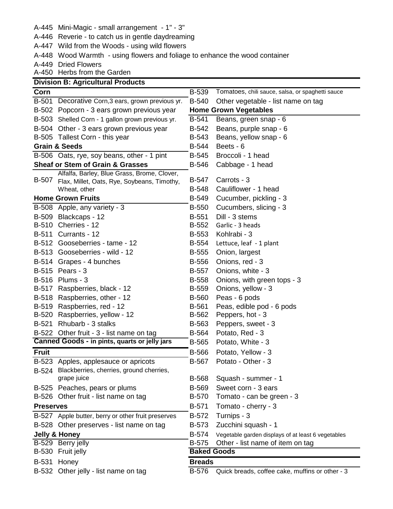A-445 Mini-Magic - small arrangement - 1" - 3"

A-446 Reverie - to catch us in gentle daydreaming

A-447 Wild from the Woods - using wild flowers

A-448 Wood Warmth - using flowers and foliage to enhance the wood container

A-449 Dried Flowers

A-450 Herbs from the Garden **Division B: Agricultural Products**

|                  | Division B: Agricultural Products                  |                                                    |                                                    |  |
|------------------|----------------------------------------------------|----------------------------------------------------|----------------------------------------------------|--|
| Corn             |                                                    | <b>B-539</b>                                       | Tomatoes, chili sauce, salsa, or spaghetti sauce   |  |
|                  | B-501 Decorative Corn, 3 ears, grown previous yr.  | <b>B-540</b><br>Other vegetable - list name on tag |                                                    |  |
|                  | B-502 Popcorn - 3 ears grown previous year         | <b>Home Grown Vegetables</b>                       |                                                    |  |
|                  | B-503 Shelled Corn - 1 gallon grown previous yr.   | B-541                                              | Beans, green snap - 6                              |  |
|                  | B-504 Other - 3 ears grown previous year           | B-542                                              | Beans, purple snap - 6                             |  |
|                  | B-505 Tallest Corn - this year                     | B-543                                              | Beans, yellow snap - 6                             |  |
|                  | <b>Grain &amp; Seeds</b>                           | B-544                                              | Beets - 6                                          |  |
|                  | B-506 Oats, rye, soy beans, other - 1 pint         | <b>B-545</b>                                       | Broccoli - 1 head                                  |  |
|                  | <b>Sheaf or Stem of Grain &amp; Grasses</b>        | <b>B-546</b>                                       | Cabbage - 1 head                                   |  |
|                  | Alfalfa, Barley, Blue Grass, Brome, Clover,        |                                                    |                                                    |  |
| B-507            | Flax, Millet, Oats, Rye, Soybeans, Timothy,        | B-547                                              | Carrots - 3                                        |  |
|                  | Wheat, other                                       | <b>B-548</b>                                       | Cauliflower - 1 head                               |  |
|                  | <b>Home Grown Fruits</b>                           | <b>B-549</b>                                       | Cucumber, pickling - 3                             |  |
|                  | B-508 Apple, any variety - 3                       | <b>B-550</b>                                       | Cucumbers, slicing - 3                             |  |
|                  | B-509 Blackcaps - 12                               | B-551                                              | Dill - 3 stems                                     |  |
|                  | <b>B-510 Cherries - 12</b>                         | B-552                                              | Garlic - 3 heads                                   |  |
|                  | <b>B-511 Currants - 12</b>                         | B-553                                              | Kohlrabi - 3                                       |  |
|                  | B-512 Gooseberries - tame - 12                     | B-554                                              | Lettuce, leaf - 1 plant                            |  |
|                  | B-513 Gooseberries - wild - 12                     | <b>B-555</b>                                       | Onion, largest                                     |  |
|                  | B-514 Grapes - 4 bunches                           | <b>B-556</b>                                       | Onions, red - 3                                    |  |
|                  | B-515 Pears - 3                                    | <b>B-557</b>                                       | Onions, white - 3                                  |  |
|                  | B-516 Plums - 3                                    | <b>B-558</b>                                       | Onions, with green tops - 3                        |  |
|                  | B-517 Raspberries, black - 12                      | <b>B-559</b>                                       | Onions, yellow - 3                                 |  |
|                  | B-518 Raspberries, other - 12                      | <b>B-560</b>                                       | Peas - 6 pods                                      |  |
|                  | B-519 Raspberries, red - 12                        | <b>B-561</b>                                       | Peas, edible pod - 6 pods                          |  |
| B-520            | Raspberries, yellow - 12                           | B-562                                              | Peppers, hot - 3                                   |  |
| <b>B-521</b>     | Rhubarb - 3 stalks                                 | B-563                                              | Peppers, sweet - 3                                 |  |
|                  | B-522 Other fruit - 3 - list name on tag           | <b>B-564</b>                                       | Potato, Red - 3                                    |  |
|                  | Canned Goods - in pints, quarts or jelly jars      | <b>B-565</b>                                       | Potato, White - 3                                  |  |
| <b>Fruit</b>     |                                                    | <b>B-566</b>                                       | Potato, Yellow - 3                                 |  |
|                  | B-523 Apples, applesauce or apricots               | B-567                                              | Potato - Other - 3                                 |  |
|                  | B-524 Blackberries, cherries, ground cherries,     |                                                    |                                                    |  |
|                  | grape juice                                        | <b>B-568</b>                                       | Squash - summer - 1                                |  |
|                  | B-525 Peaches, pears or plums                      | <b>B-569</b>                                       | Sweet corn - 3 ears                                |  |
|                  | B-526 Other fruit - list name on tag               | <b>B-570</b>                                       | Tomato - can be green - 3                          |  |
| <b>Preserves</b> |                                                    | B-571                                              | Tomato - cherry - 3                                |  |
|                  | B-527 Apple butter, berry or other fruit preserves | B-572                                              | Turnips - 3                                        |  |
|                  | B-528 Other preserves - list name on tag           | B-573                                              | Zucchini squash - 1                                |  |
|                  | <b>Jelly &amp; Honey</b>                           | <b>B-574</b>                                       | Vegetable garden displays of at least 6 vegetables |  |
|                  | B-529 Berry jelly                                  | <b>B-575</b>                                       | Other - list name of item on tag                   |  |
|                  | B-530 Fruit jelly                                  | <b>Baked Goods</b>                                 |                                                    |  |
| <b>B-531</b>     | Honey                                              | <b>Breads</b>                                      |                                                    |  |
|                  | B-532 Other jelly - list name on tag               | <b>B-576</b>                                       | Quick breads, coffee cake, muffins or other - 3    |  |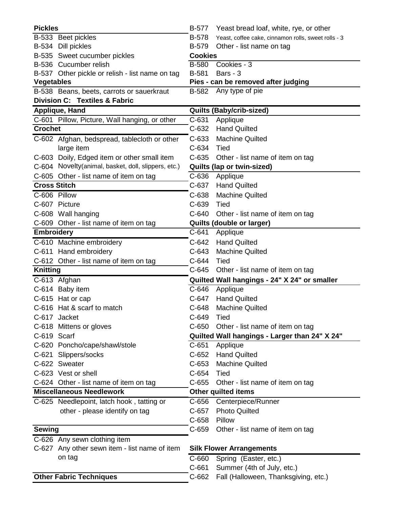| <b>Pickles</b>      |                                                     | <b>B-577</b>   | Yeast bread loaf, white, rye, or other              |
|---------------------|-----------------------------------------------------|----------------|-----------------------------------------------------|
|                     | B-533 Beet pickles                                  | <b>B-578</b>   | Yeast, coffee cake, cinnamon rolls, sweet rolls - 3 |
|                     | B-534 Dill pickles                                  | <b>B-579</b>   | Other - list name on tag                            |
|                     | B-535 Sweet cucumber pickles                        | <b>Cookies</b> |                                                     |
|                     | B-536 Cucumber relish                               | <b>B-580</b>   | Cookies - 3                                         |
|                     | B-537 Other pickle or relish - list name on tag     | B-581          | Bars - 3                                            |
| <b>Vegetables</b>   |                                                     |                | Pies - can be removed after judging                 |
|                     | B-538 Beans, beets, carrots or sauerkraut           | <b>B-582</b>   | Any type of pie                                     |
|                     | <b>Division C: Textiles &amp; Fabric</b>            |                |                                                     |
|                     | Applique, Hand                                      |                | <b>Quilts (Baby/crib-sized)</b>                     |
|                     | C-601 Pillow, Picture, Wall hanging, or other       | $C-631$        | Applique                                            |
| <b>Crochet</b>      |                                                     | $C-632$        | <b>Hand Quilted</b>                                 |
|                     | C-602 Afghan, bedspread, tablecloth or other        | $C-633$        | <b>Machine Quilted</b>                              |
|                     | large item                                          | C-634          | Tied                                                |
|                     | C-603 Doily, Edged item or other small item         | $C-635$        | Other - list name of item on tag                    |
|                     | C-604 Novelty(animal, basket, doll, slippers, etc.) |                | Quilts (lap or twin-sized)                          |
|                     | C-605 Other - list name of item on tag              | $C-636$        | Applique                                            |
| <b>Cross Stitch</b> |                                                     | C-637          | <b>Hand Quilted</b>                                 |
| C-606 Pillow        |                                                     | $C-638$        | <b>Machine Quilted</b>                              |
|                     | C-607 Picture                                       | C-639          | Tied                                                |
|                     | C-608 Wall hanging                                  | $C-640$        | Other - list name of item on tag                    |
|                     | C-609 Other - list name of item on tag              |                | Quilts (double or larger)                           |
| <b>Embroidery</b>   |                                                     | C-641          | Applique                                            |
|                     | C-610 Machine embroidery                            | $C-642$        | <b>Hand Quilted</b>                                 |
|                     | C-611 Hand embroidery                               | $C-643$        | <b>Machine Quilted</b>                              |
|                     | C-612 Other - list name of item on tag              | $C-644$        | Tied                                                |
| <b>Knitting</b>     |                                                     | $C-645$        | Other - list name of item on tag                    |
|                     | $\overline{C}$ -613 Afghan                          |                | Quilted Wall hangings - 24" X 24" or smaller        |
|                     | C-614 Baby item                                     | C-646          | Applique                                            |
|                     | C-615 Hat or cap                                    | C-647          | <b>Hand Quilted</b>                                 |
|                     | C-616 Hat & scarf to match                          | $C-648$        | <b>Machine Quilted</b>                              |
|                     | C-617 Jacket                                        | $C-649$        | Tied                                                |
|                     | C-618 Mittens or gloves                             | $C-650$        | Other - list name of item on tag                    |
| C-619 Scarf         |                                                     |                | Quilted Wall hangings - Larger than 24" X 24"       |
|                     | C-620 Poncho/cape/shawl/stole                       | $C-651$        | Applique                                            |
|                     | C-621 Slippers/socks                                | $C-652$        | <b>Hand Quilted</b>                                 |
|                     | C-622 Sweater                                       | $C-653$        | <b>Machine Quilted</b>                              |
|                     | C-623 Vest or shell                                 | $C-654$        | Tied                                                |
|                     | C-624 Other - list name of item on tag              | $C-655$        | Other - list name of item on tag                    |
|                     | <b>Miscellaneous Needlework</b>                     |                | <b>Other quilted items</b>                          |
|                     | C-625 Needlepoint, latch hook, tatting or           | C-656          | Centerpiece/Runner                                  |
|                     | other - please identify on tag                      | $C-657$        | <b>Photo Quilted</b>                                |
|                     |                                                     | $C-658$        | Pillow                                              |
| <b>Sewing</b>       |                                                     | $C-659$        | Other - list name of item on tag                    |
|                     | C-626 Any sewn clothing item                        |                |                                                     |
|                     | C-627 Any other sewn item - list name of item       |                | <b>Silk Flower Arrangements</b>                     |
|                     | on tag                                              | C-660          | Spring (Easter, etc.)                               |
|                     |                                                     | $C-661$        | Summer (4th of July, etc.)                          |
|                     | <b>Other Fabric Techniques</b>                      | C-662          | Fall (Halloween, Thanksgiving, etc.)                |
|                     |                                                     |                |                                                     |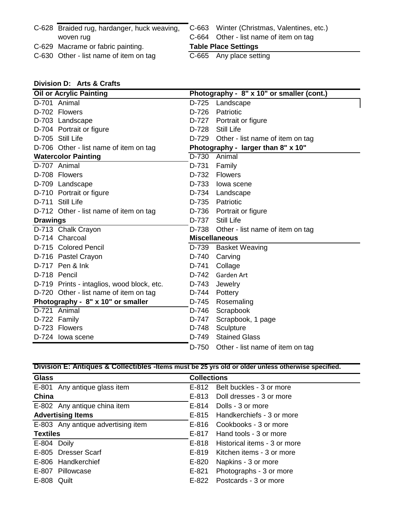| C-628 Braided rug, hardanger, huck weaving,<br>woven rug |                             | C-663 Winter (Christmas, Valentines, etc.)<br>C-664 Other - list name of item on tag |  |
|----------------------------------------------------------|-----------------------------|--------------------------------------------------------------------------------------|--|
|                                                          | <b>Table Place Settings</b> |                                                                                      |  |
| C-629 Macrame or fabric painting.                        |                             |                                                                                      |  |

# **Division D: Arts & Crafts**

|                 | <b>Oil or Acrylic Painting</b>             |                      | Photography - 8" x 10" or smaller (cont.) |
|-----------------|--------------------------------------------|----------------------|-------------------------------------------|
|                 | D-701 Animal                               | D-725                | Landscape                                 |
|                 | D-702 Flowers                              | D-726                | Patriotic                                 |
|                 | D-703 Landscape                            | D-727                | Portrait or figure                        |
|                 | D-704 Portrait or figure                   | D-728                | <b>Still Life</b>                         |
|                 | D-705 Still Life                           | D-729                | Other - list name of item on tag          |
|                 | D-706 Other - list name of item on tag     |                      | Photography - larger than 8" x 10"        |
|                 | <b>Watercolor Painting</b>                 | $D-730$              | Animal                                    |
|                 | D-707 Animal                               | D-731                | Family                                    |
|                 | D-708 Flowers                              | D-732                | <b>Flowers</b>                            |
|                 | D-709 Landscape                            | D-733                | lowa scene                                |
|                 | D-710 Portrait or figure                   | D-734                | Landscape                                 |
|                 | D-711 Still Life                           | D-735                | Patriotic                                 |
|                 | D-712 Other - list name of item on tag     |                      | D-736 Portrait or figure                  |
| <b>Drawings</b> |                                            | D-737                | <b>Still Life</b>                         |
|                 | D-713 Chalk Crayon                         | D-738                | Other - list name of item on tag          |
|                 | D-714 Charcoal                             | <b>Miscellaneous</b> |                                           |
|                 | D-715 Colored Pencil                       | D-739                | <b>Basket Weaving</b>                     |
|                 | D-716 Pastel Crayon                        | D-740                | Carving                                   |
|                 | D-717 Pen & Ink                            | D-741                | Collage                                   |
|                 | D-718 Pencil                               | D-742                | Garden Art                                |
|                 | D-719 Prints - intaglios, wood block, etc. | D-743                | Jewelry                                   |
|                 | D-720 Other - list name of item on tag     | D-744                | Pottery                                   |
|                 | Photography - 8" x 10" or smaller          | D-745                | Rosemaling                                |
|                 | D-721 Animal                               | D-746                | Scrapbook                                 |
|                 | D-722 Family                               | D-747                | Scrapbook, 1 page                         |
|                 | D-723 Flowers                              | D-748                | Sculpture                                 |
|                 | D-724 lowa scene                           | D-749                | <b>Stained Glass</b>                      |
|                 |                                            | D-750                | Other - list name of item on tag          |

|  |  | Division E: Antiques & Collectibles - Items must be 25 yrs old or older unless otherwise specified. |  |
|--|--|-----------------------------------------------------------------------------------------------------|--|
|  |  |                                                                                                     |  |

| <b>Glass</b>    |                                    | <b>Collections</b> |                                    |  |
|-----------------|------------------------------------|--------------------|------------------------------------|--|
|                 | E-801 Any antique glass item       | E-812              | Belt buckles - 3 or more           |  |
| China           |                                    | E-813              | Doll dresses - 3 or more           |  |
|                 | E-802 Any antique china item       | E-814              | Dolls - 3 or more                  |  |
|                 | <b>Advertising Items</b>           | E-815              | Handkerchiefs - 3 or more          |  |
|                 | E-803 Any antique advertising item |                    | E-816 Cookbooks - 3 or more        |  |
| <b>Textiles</b> |                                    | E-817              | Hand tools - 3 or more             |  |
| E-804 Doily     |                                    |                    | E-818 Historical items - 3 or more |  |
|                 | E-805 Dresser Scarf                | E-819              | Kitchen items - 3 or more          |  |
|                 | E-806 Handkerchief                 | E-820              | Napkins - 3 or more                |  |
|                 | E-807 Pillowcase                   | $E - 821$          | Photographs - 3 or more            |  |
| E-808 Quilt     |                                    | $E-822$            | Postcards - 3 or more              |  |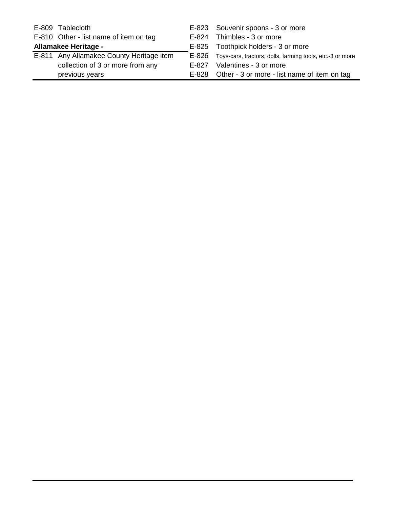|                      | E-809 Tablecloth                         | E-823 Souvenir spoons - 3 or more                               |  |
|----------------------|------------------------------------------|-----------------------------------------------------------------|--|
|                      | E-810 Other - list name of item on tag   | E-824 Thimbles - 3 or more                                      |  |
| Allamakee Heritage - |                                          | E-825 Toothpick holders - 3 or more                             |  |
|                      | E-811 Any Allamakee County Heritage item | E-826 Toys-cars, tractors, dolls, farming tools, etc.-3 or more |  |
|                      | collection of 3 or more from any         | E-827 Valentines - 3 or more                                    |  |
|                      | previous years                           | E-828 Other - 3 or more - list name of item on tag              |  |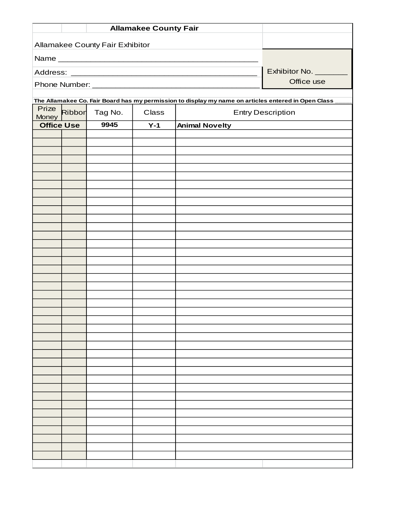|                   |                                        | <b>Allamakee County Fair</b> |       |                                                                                                     |                          |  |  |  |
|-------------------|----------------------------------------|------------------------------|-------|-----------------------------------------------------------------------------------------------------|--------------------------|--|--|--|
|                   |                                        |                              |       |                                                                                                     |                          |  |  |  |
|                   | <b>Allamakee County Fair Exhibitor</b> |                              |       |                                                                                                     |                          |  |  |  |
|                   | Exhibitor No. ________                 |                              |       |                                                                                                     |                          |  |  |  |
|                   |                                        |                              |       |                                                                                                     | Office use               |  |  |  |
|                   |                                        |                              |       |                                                                                                     |                          |  |  |  |
| Prize             |                                        |                              |       | The Allamakee Co. Fair Board has my permission to display my name on articles entered in Open Class |                          |  |  |  |
| Money             | Ribbor                                 | Tag No.                      | Class |                                                                                                     | <b>Entry Description</b> |  |  |  |
| <b>Office Use</b> |                                        | 9945                         | $Y-1$ | <b>Animal Novelty</b>                                                                               |                          |  |  |  |
|                   |                                        |                              |       |                                                                                                     |                          |  |  |  |
|                   |                                        |                              |       |                                                                                                     |                          |  |  |  |
|                   |                                        |                              |       |                                                                                                     |                          |  |  |  |
|                   |                                        |                              |       |                                                                                                     |                          |  |  |  |
|                   |                                        |                              |       |                                                                                                     |                          |  |  |  |
|                   |                                        |                              |       |                                                                                                     |                          |  |  |  |
|                   |                                        |                              |       |                                                                                                     |                          |  |  |  |
|                   |                                        |                              |       |                                                                                                     |                          |  |  |  |
|                   |                                        |                              |       |                                                                                                     |                          |  |  |  |
|                   |                                        |                              |       |                                                                                                     |                          |  |  |  |
|                   |                                        |                              |       |                                                                                                     |                          |  |  |  |
|                   |                                        |                              |       |                                                                                                     |                          |  |  |  |
|                   |                                        |                              |       |                                                                                                     |                          |  |  |  |
|                   |                                        |                              |       |                                                                                                     |                          |  |  |  |
|                   |                                        |                              |       |                                                                                                     |                          |  |  |  |
|                   |                                        |                              |       |                                                                                                     |                          |  |  |  |
|                   |                                        |                              |       |                                                                                                     |                          |  |  |  |
|                   |                                        |                              |       |                                                                                                     |                          |  |  |  |
|                   |                                        |                              |       |                                                                                                     |                          |  |  |  |
|                   |                                        |                              |       |                                                                                                     |                          |  |  |  |
|                   |                                        |                              |       |                                                                                                     |                          |  |  |  |
|                   |                                        |                              |       |                                                                                                     |                          |  |  |  |
|                   |                                        |                              |       |                                                                                                     |                          |  |  |  |
|                   |                                        |                              |       |                                                                                                     |                          |  |  |  |
|                   |                                        |                              |       |                                                                                                     |                          |  |  |  |
|                   |                                        |                              |       |                                                                                                     |                          |  |  |  |
|                   |                                        |                              |       |                                                                                                     |                          |  |  |  |
|                   |                                        |                              |       |                                                                                                     |                          |  |  |  |
|                   |                                        |                              |       |                                                                                                     |                          |  |  |  |